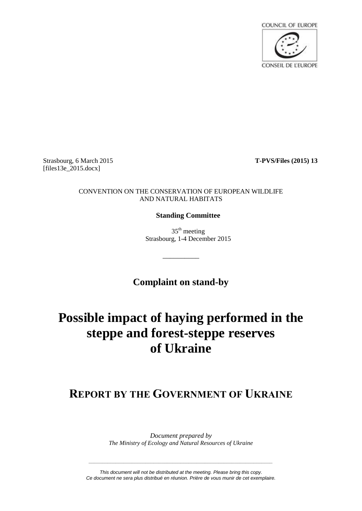

Strasbourg, 6 March 2015 **T-PVS/Files (2015) 13** [files13e\_2015.docx]

#### CONVENTION ON THE CONSERVATION OF EUROPEAN WILDLIFE AND NATURAL HABITATS

### **Standing Committee**

 $35<sup>th</sup>$  meeting Strasbourg, 1-4 December 2015

**Complaint on stand-by**

\_\_\_\_\_\_\_\_\_\_

# **Possible impact of haying performed in the steppe and forest-steppe reserves of Ukraine**

# **REPORT BY THE GOVERNMENT OF UKRAINE**

*Document prepared by The Ministry of Ecology and Natural Resources of Ukraine*

*This document will not be distributed at the meeting. Please bring this copy. Ce document ne sera plus distribué en réunion. Prière de vous munir de cet exemplaire.*

*\_\_\_\_\_\_\_\_\_\_\_\_\_\_\_\_\_\_\_\_\_\_\_\_\_\_\_\_\_\_\_\_\_\_\_\_\_\_\_\_\_\_\_\_\_\_\_\_\_\_\_\_\_\_\_\_\_\_\_\_\_\_\_\_\_\_\_\_*